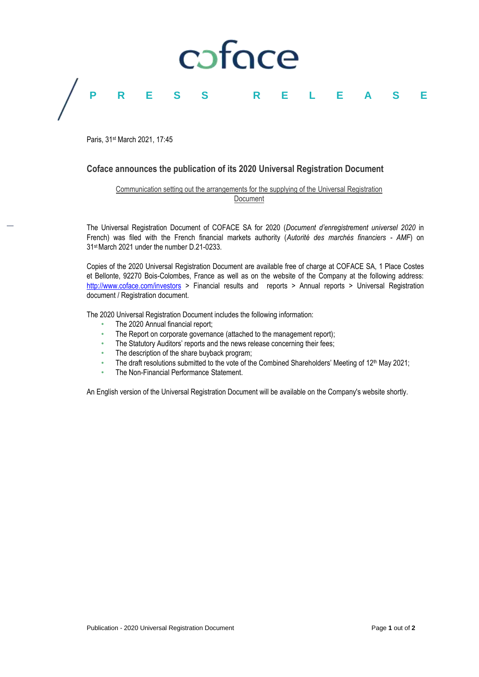

Paris, 31st March 2021, 17:45

## **Coface announces the publication of its 2020 Universal Registration Document**

### Communication setting out the arrangements for the supplying of the Universal Registration Document

The Universal Registration Document of COFACE SA for 2020 (*Document d'enregistrement universel 2020* in French) was filed with the French financial markets authority (*Autorité des marchés financiers - AMF*) on 31stMarch 2021 under the number D.21-0233.

Copies of the 2020 Universal Registration Document are available free of charge at COFACE SA, 1 Place Costes et Bellonte, 92270 Bois-Colombes, France as well as on the website of the Company at the following address: <http://www.coface.com/investors> > Financial results and reports > Annual reports > Universal Registration document / Registration document.

The 2020 Universal Registration Document includes the following information:

- The 2020 Annual financial report;
- The Report on corporate governance (attached to the management report);
- The Statutory Auditors' reports and the news release concerning their fees;
- The description of the share buyback program;
- The draft resolutions submitted to the vote of the Combined Shareholders' Meeting of 12<sup>th</sup> May 2021;
- The Non-Financial Performance Statement.

An English version of the Universal Registration Document will be available on the Company's website shortly.